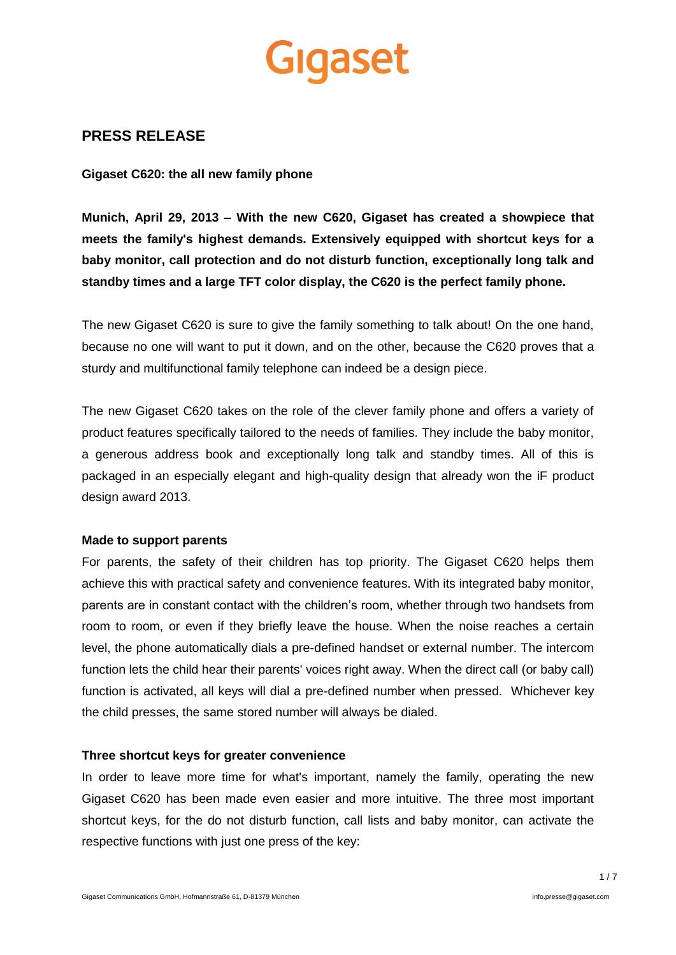# Gigaset

### **PRESS RELEASE**

**Gigaset C620: the all new family phone**

**Munich, April 29, 2013 – With the new C620, Gigaset has created a showpiece that meets the family's highest demands. Extensively equipped with shortcut keys for a baby monitor, call protection and do not disturb function, exceptionally long talk and standby times and a large TFT color display, the C620 is the perfect family phone.**

The new Gigaset C620 is sure to give the family something to talk about! On the one hand, because no one will want to put it down, and on the other, because the C620 proves that a sturdy and multifunctional family telephone can indeed be a design piece.

The new Gigaset C620 takes on the role of the clever family phone and offers a variety of product features specifically tailored to the needs of families. They include the baby monitor, a generous address book and exceptionally long talk and standby times. All of this is packaged in an especially elegant and high-quality design that already won the iF product design award 2013.

#### **Made to support parents**

For parents, the safety of their children has top priority. The Gigaset C620 helps them achieve this with practical safety and convenience features. With its integrated baby monitor, parents are in constant contact with the children's room, whether through two handsets from room to room, or even if they briefly leave the house. When the noise reaches a certain level, the phone automatically dials a pre-defined handset or external number. The intercom function lets the child hear their parents' voices right away. When the direct call (or baby call) function is activated, all keys will dial a pre-defined number when pressed. Whichever key the child presses, the same stored number will always be dialed.

#### **Three shortcut keys for greater convenience**

In order to leave more time for what's important, namely the family, operating the new Gigaset C620 has been made even easier and more intuitive. The three most important shortcut keys, for the do not disturb function, call lists and baby monitor, can activate the respective functions with just one press of the key: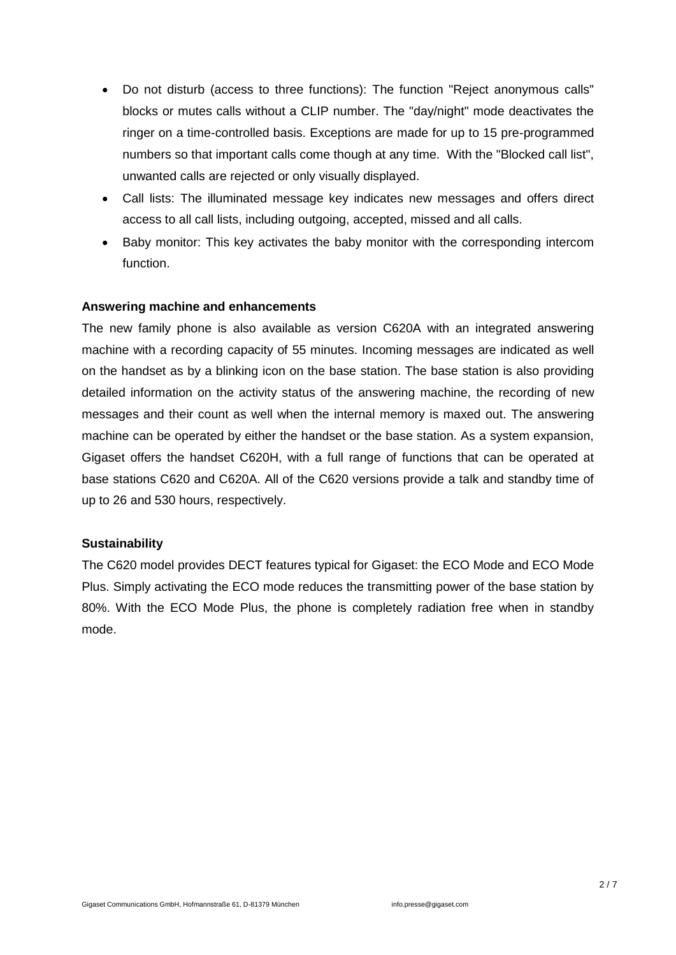- Do not disturb (access to three functions): The function "Reject anonymous calls" blocks or mutes calls without a CLIP number. The "day/night" mode deactivates the ringer on a time-controlled basis. Exceptions are made for up to 15 pre-programmed numbers so that important calls come though at any time. With the "Blocked call list", unwanted calls are rejected or only visually displayed.
- Call lists: The illuminated message key indicates new messages and offers direct access to all call lists, including outgoing, accepted, missed and all calls.
- Baby monitor: This key activates the baby monitor with the corresponding intercom function.

#### **Answering machine and enhancements**

The new family phone is also available as version C620A with an integrated answering machine with a recording capacity of 55 minutes. Incoming messages are indicated as well on the handset as by a blinking icon on the base station. The base station is also providing detailed information on the activity status of the answering machine, the recording of new messages and their count as well when the internal memory is maxed out. The answering machine can be operated by either the handset or the base station. As a system expansion, Gigaset offers the handset C620H, with a full range of functions that can be operated at base stations C620 and C620A. All of the C620 versions provide a talk and standby time of up to 26 and 530 hours, respectively.

#### **Sustainability**

The C620 model provides DECT features typical for Gigaset: the ECO Mode and ECO Mode Plus. Simply activating the ECO mode reduces the transmitting power of the base station by 80%. With the ECO Mode Plus, the phone is completely radiation free when in standby mode.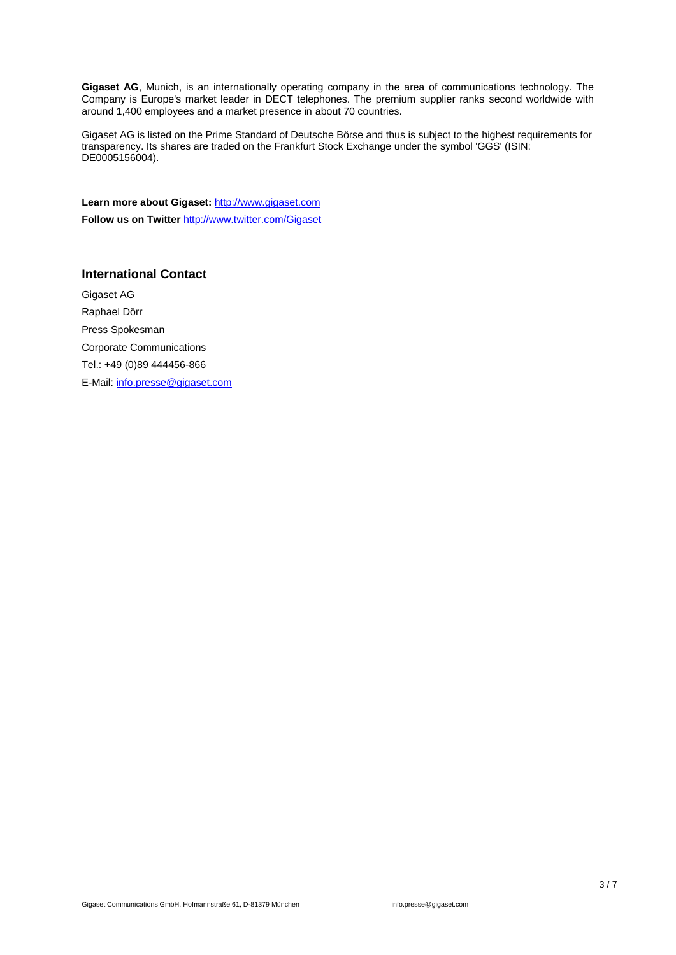**Gigaset AG**, Munich, is an internationally operating company in the area of communications technology. The Company is Europe's market leader in DECT telephones. The premium supplier ranks second worldwide with around 1,400 employees and a market presence in about 70 countries.

Gigaset AG is listed on the Prime Standard of Deutsche Börse and thus is subject to the highest requirements for transparency. Its shares are traded on the Frankfurt Stock Exchange under the symbol 'GGS' (ISIN: DE0005156004).

Learn more about Gigaset: [http://www.gigaset.com](http://www.gigaset.com/) **Follow us on Twitter** <http://www.twitter.com/Gigaset>

#### **International Contact**

Gigaset AG Raphael Dörr Press Spokesman Corporate Communications Tel.: +49 (0)89 444456-866 E-Mail: [info.presse@gigaset.com](mailto:info.presse@gigaset.com)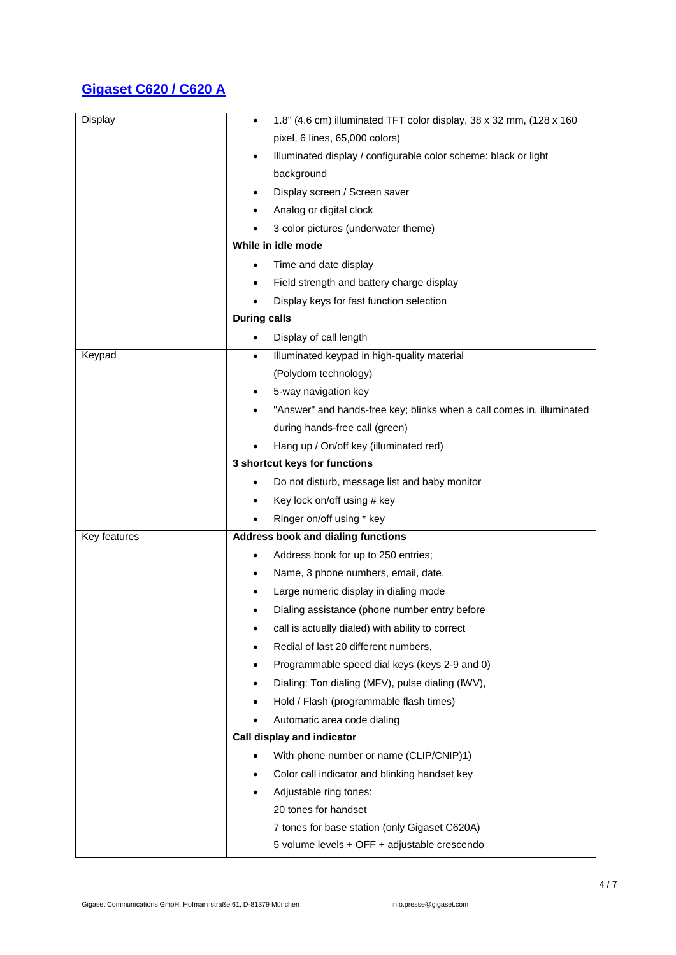## **Gigaset C620 / C620 A**

| Display      | 1.8" (4.6 cm) illuminated TFT color display, 38 x 32 mm, (128 x 160   |
|--------------|-----------------------------------------------------------------------|
|              | pixel, 6 lines, 65,000 colors)                                        |
|              | Illuminated display / configurable color scheme: black or light       |
|              | background                                                            |
|              | Display screen / Screen saver                                         |
|              | Analog or digital clock                                               |
|              | 3 color pictures (underwater theme)                                   |
|              | While in idle mode                                                    |
|              | Time and date display                                                 |
|              | Field strength and battery charge display                             |
|              | Display keys for fast function selection                              |
|              | <b>During calls</b>                                                   |
|              | Display of call length<br>$\bullet$                                   |
| Keypad       | Illuminated keypad in high-quality material<br>$\bullet$              |
|              | (Polydom technology)                                                  |
|              | 5-way navigation key                                                  |
|              | "Answer" and hands-free key; blinks when a call comes in, illuminated |
|              | during hands-free call (green)                                        |
|              | Hang up / On/off key (illuminated red)                                |
|              | 3 shortcut keys for functions                                         |
|              | Do not disturb, message list and baby monitor                         |
|              | Key lock on/off using # key                                           |
|              | Ringer on/off using * key                                             |
| Key features | <b>Address book and dialing functions</b>                             |
|              | Address book for up to 250 entries;<br>$\bullet$                      |
|              | Name, 3 phone numbers, email, date,                                   |
|              | Large numeric display in dialing mode                                 |
|              | Dialing assistance (phone number entry before                         |
|              | call is actually dialed) with ability to correct                      |
|              | Redial of last 20 different numbers,                                  |
|              | Programmable speed dial keys (keys 2-9 and 0)                         |
|              | Dialing: Ton dialing (MFV), pulse dialing (IWV),                      |
|              | Hold / Flash (programmable flash times)                               |
|              | Automatic area code dialing                                           |
|              | Call display and indicator                                            |
|              | With phone number or name (CLIP/CNIP)1)                               |
|              | Color call indicator and blinking handset key                         |
|              | Adjustable ring tones:                                                |
|              | 20 tones for handset                                                  |
|              | 7 tones for base station (only Gigaset C620A)                         |
|              | 5 volume levels + OFF + adjustable crescendo                          |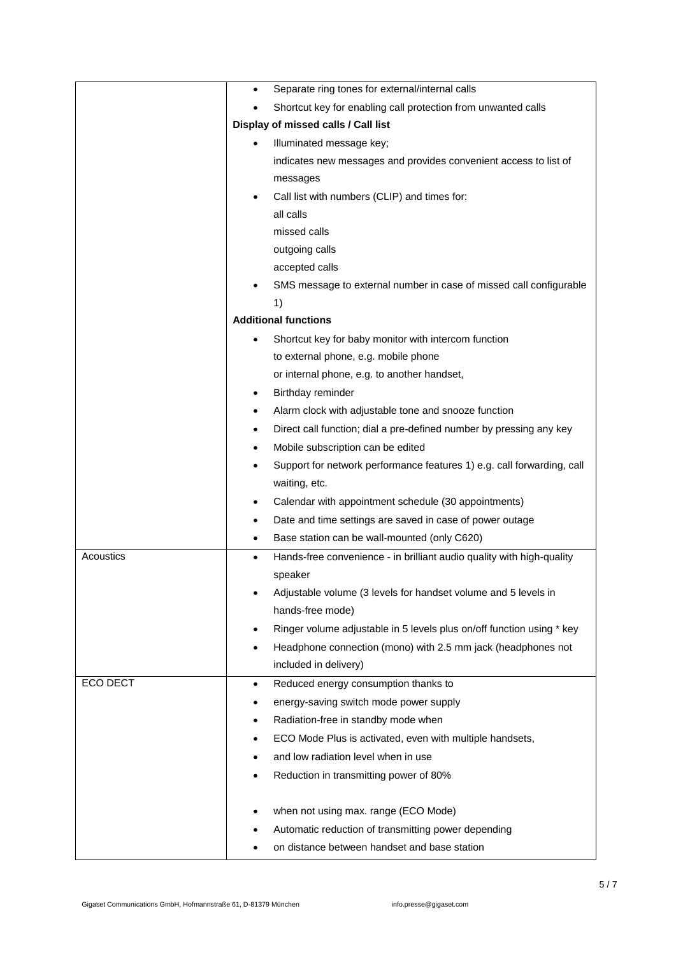|           | Separate ring tones for external/internal calls<br>$\bullet$                        |
|-----------|-------------------------------------------------------------------------------------|
|           | Shortcut key for enabling call protection from unwanted calls                       |
|           | Display of missed calls / Call list                                                 |
|           | Illuminated message key;                                                            |
|           | indicates new messages and provides convenient access to list of                    |
|           | messages                                                                            |
|           | Call list with numbers (CLIP) and times for:<br>$\bullet$                           |
|           | all calls                                                                           |
|           | missed calls                                                                        |
|           | outgoing calls                                                                      |
|           | accepted calls                                                                      |
|           | SMS message to external number in case of missed call configurable                  |
|           | 1)                                                                                  |
|           | <b>Additional functions</b>                                                         |
|           | Shortcut key for baby monitor with intercom function<br>٠                           |
|           | to external phone, e.g. mobile phone                                                |
|           | or internal phone, e.g. to another handset,                                         |
|           | Birthday reminder<br>٠                                                              |
|           | Alarm clock with adjustable tone and snooze function<br>٠                           |
|           | Direct call function; dial a pre-defined number by pressing any key<br>٠            |
|           | Mobile subscription can be edited<br>$\bullet$                                      |
|           | Support for network performance features 1) e.g. call forwarding, call<br>$\bullet$ |
|           | waiting, etc.                                                                       |
|           | Calendar with appointment schedule (30 appointments)<br>٠                           |
|           | Date and time settings are saved in case of power outage<br>٠                       |
|           | Base station can be wall-mounted (only C620)<br>$\bullet$                           |
| Acoustics | Hands-free convenience - in brilliant audio quality with high-quality<br>$\bullet$  |
|           | speaker                                                                             |
|           | Adjustable volume (3 levels for handset volume and 5 levels in                      |
|           | hands-free mode)                                                                    |
|           | Ringer volume adjustable in 5 levels plus on/off function using * key<br>$\bullet$  |
|           | Headphone connection (mono) with 2.5 mm jack (headphones not<br>$\bullet$           |
|           | included in delivery)                                                               |
| ECO DECT  | Reduced energy consumption thanks to<br>$\bullet$                                   |
|           | energy-saving switch mode power supply<br>$\bullet$                                 |
|           | Radiation-free in standby mode when<br>٠                                            |
|           | ECO Mode Plus is activated, even with multiple handsets,<br>٠                       |
|           | and low radiation level when in use<br>$\bullet$                                    |
|           | Reduction in transmitting power of 80%                                              |
|           |                                                                                     |
|           | when not using max. range (ECO Mode)<br>٠                                           |
|           | Automatic reduction of transmitting power depending                                 |
|           | on distance between handset and base station                                        |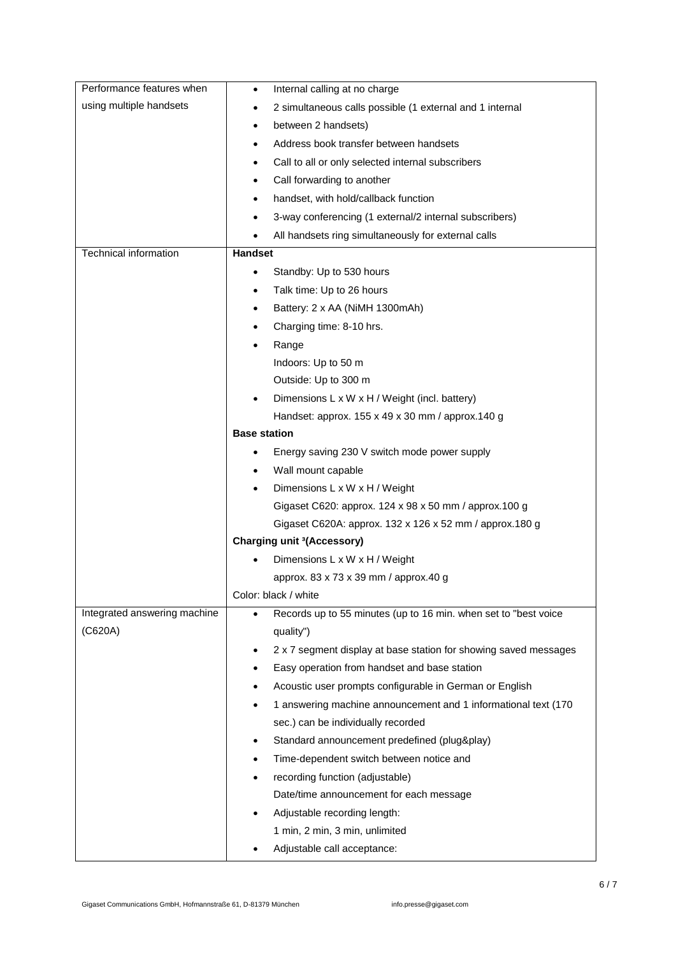| Performance features when    | Internal calling at no charge<br>$\bullet$                                    |
|------------------------------|-------------------------------------------------------------------------------|
| using multiple handsets      | 2 simultaneous calls possible (1 external and 1 internal                      |
|                              | between 2 handsets)<br>$\bullet$                                              |
|                              | Address book transfer between handsets<br>٠                                   |
|                              | Call to all or only selected internal subscribers<br>٠                        |
|                              | Call forwarding to another<br>$\bullet$                                       |
|                              | handset, with hold/callback function                                          |
|                              | 3-way conferencing (1 external/2 internal subscribers)                        |
|                              | All handsets ring simultaneously for external calls                           |
| Technical information        | Handset                                                                       |
|                              | Standby: Up to 530 hours                                                      |
|                              | Talk time: Up to 26 hours<br>٠                                                |
|                              | Battery: 2 x AA (NiMH 1300mAh)<br>٠                                           |
|                              | Charging time: 8-10 hrs.                                                      |
|                              | Range                                                                         |
|                              | Indoors: Up to 50 m                                                           |
|                              | Outside: Up to 300 m                                                          |
|                              | Dimensions L x W x H / Weight (incl. battery)<br>$\bullet$                    |
|                              | Handset: approx. 155 x 49 x 30 mm / approx. 140 g                             |
|                              | <b>Base station</b>                                                           |
|                              | Energy saving 230 V switch mode power supply<br>٠                             |
|                              | Wall mount capable                                                            |
|                              | Dimensions L x W x H / Weight                                                 |
|                              | Gigaset C620: approx. 124 x 98 x 50 mm / approx.100 g                         |
|                              | Gigaset C620A: approx. 132 x 126 x 52 mm / approx. 180 g                      |
|                              | <b>Charging unit 3(Accessory)</b>                                             |
|                              | Dimensions L x W x H / Weight                                                 |
|                              | approx. 83 x 73 x 39 mm / approx.40 g                                         |
|                              | Color: black / white                                                          |
| Integrated answering machine | Records up to 55 minutes (up to 16 min. when set to "best voice               |
| (C620A)                      | quality")                                                                     |
|                              | 2 x 7 segment display at base station for showing saved messages<br>$\bullet$ |
|                              | Easy operation from handset and base station                                  |
|                              | Acoustic user prompts configurable in German or English                       |
|                              | 1 answering machine announcement and 1 informational text (170                |
|                              | sec.) can be individually recorded                                            |
|                              | Standard announcement predefined (plug&play)                                  |
|                              | Time-dependent switch between notice and<br>٠                                 |
|                              | recording function (adjustable)                                               |
|                              | Date/time announcement for each message                                       |
|                              | Adjustable recording length:<br>٠                                             |
|                              | 1 min, 2 min, 3 min, unlimited                                                |
|                              | Adjustable call acceptance:                                                   |